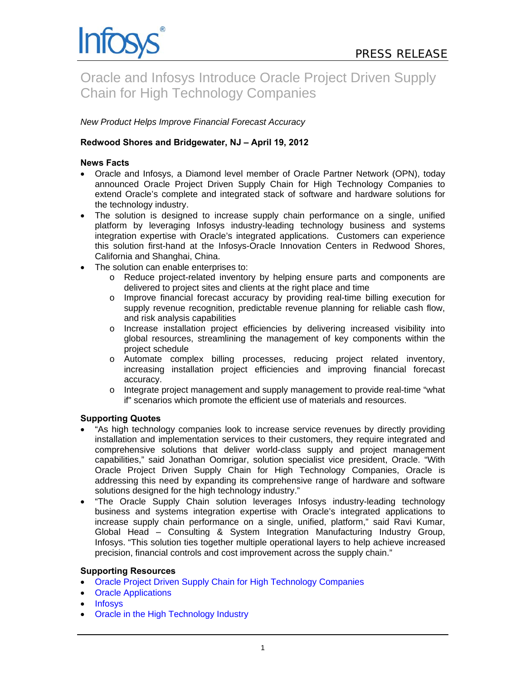Oracle and Infosys Introduce Oracle Project Driven Supply Chain for High Technology Companies

## *New Product Helps Improve Financial Forecast Accuracy*

## **Redwood Shores and Bridgewater, NJ – April 19, 2012**

#### **News Facts**

- Oracle and Infosys, a Diamond level member of Oracle Partner Network (OPN), today announced Oracle Project Driven Supply Chain for High Technology Companies to extend Oracle's complete and integrated stack of software and hardware solutions for the technology industry.
- The solution is designed to increase supply chain performance on a single, unified platform by leveraging Infosys industry-leading technology business and systems integration expertise with Oracle's integrated applications. Customers can experience this solution first-hand at the Infosys-Oracle Innovation Centers in Redwood Shores, California and Shanghai, China.
- The solution can enable enterprises to:
	- o Reduce project-related inventory by helping ensure parts and components are delivered to project sites and clients at the right place and time
	- o Improve financial forecast accuracy by providing real-time billing execution for supply revenue recognition, predictable revenue planning for reliable cash flow, and risk analysis capabilities
	- o Increase installation project efficiencies by delivering increased visibility into global resources, streamlining the management of key components within the project schedule
	- o Automate complex billing processes, reducing project related inventory, increasing installation project efficiencies and improving financial forecast accuracy.
	- $\circ$  Integrate project management and supply management to provide real-time "what if" scenarios which promote the efficient use of materials and resources.

### **Supporting Quotes**

- "As high technology companies look to increase service revenues by directly providing installation and implementation services to their customers, they require integrated and comprehensive solutions that deliver world-class supply and project management capabilities," said Jonathan Oomrigar, solution specialist vice president, Oracle. "With Oracle Project Driven Supply Chain for High Technology Companies, Oracle is addressing this need by expanding its comprehensive range of hardware and software solutions designed for the high technology industry."
- "The Oracle Supply Chain solution leverages Infosys industry-leading technology business and systems integration expertise with Oracle's integrated applications to increase supply chain performance on a single, unified, platform," said Ravi Kumar, Global Head – Consulting & System Integration Manufacturing Industry Group, Infosys. "This solution ties together multiple operational layers to help achieve increased precision, financial controls and cost improvement across the supply chain."

### **Supporting Resources**

- [Oracle Project Driven Supply Chain for High Technology Companies](https://oraclemeetings.webex.com/oraclemeetings/ldr.php?AT=pb&SP=MC&rID=65039907&rKey=53ad1bcfe5af93b3)
- [Oracle Applications](http://www.oracle.com/us/products/applications/index.html)
- [Infosys](http://www.infosys.com/oracle/pages/index.aspx)
- [Oracle in the High Technology Industry](http://www.oracle.com/us/industries/high-tech/index.html)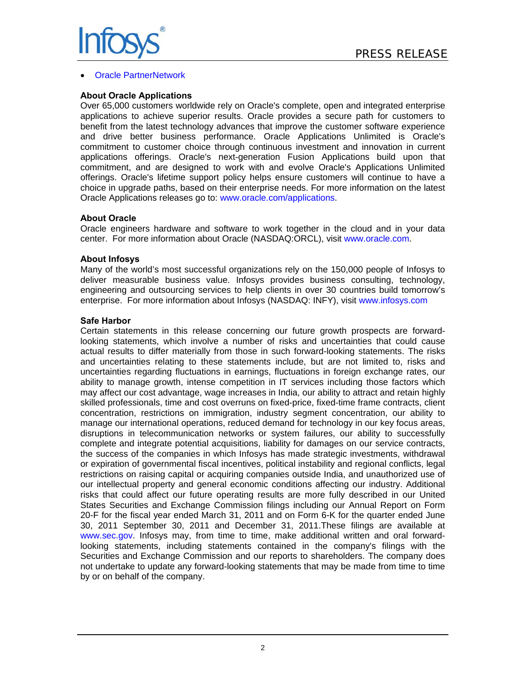



#### [Oracle PartnerNetwork](http://www.oracle.com/partners/index.html)

### **About Oracle Applications**

Over 65,000 customers worldwide rely on Oracle's complete, open and integrated enterprise applications to achieve superior results. Oracle provides a secure path for customers to benefit from the latest technology advances that improve the customer software experience and drive better business performance. Oracle Applications Unlimited is Oracle's commitment to customer choice through continuous investment and innovation in current applications offerings. Oracle's next-generation Fusion Applications build upon that commitment, and are designed to work with and evolve Oracle's Applications Unlimited offerings. Oracle's lifetime support policy helps ensure customers will continue to have a choice in upgrade paths, based on their enterprise needs. For more information on the latest Oracle Applications releases go to: www.oracle.com/applications.

### **About Oracle**

Oracle engineers hardware and software to work together in the cloud and in your data center. For more information about Oracle (NASDAQ:ORCL), visit www.oracle.com.

### **About Infosys**

Many of the world's most successful organizations rely on the 150,000 people of Infosys to deliver measurable business value. Infosys provides business consulting, technology, engineering and outsourcing services to help clients in over 30 countries build tomorrow's enterprise. For more information about Infosys (NASDAQ: INFY), visit www.infosys.com

### **Safe Harbor**

Certain statements in this release concerning our future growth prospects are forwardlooking statements, which involve a number of risks and uncertainties that could cause actual results to differ materially from those in such forward-looking statements. The risks and uncertainties relating to these statements include, but are not limited to, risks and uncertainties regarding fluctuations in earnings, fluctuations in foreign exchange rates, our ability to manage growth, intense competition in IT services including those factors which may affect our cost advantage, wage increases in India, our ability to attract and retain highly skilled professionals, time and cost overruns on fixed-price, fixed-time frame contracts, client concentration, restrictions on immigration, industry segment concentration, our ability to manage our international operations, reduced demand for technology in our key focus areas, disruptions in telecommunication networks or system failures, our ability to successfully complete and integrate potential acquisitions, liability for damages on our service contracts, the success of the companies in which Infosys has made strategic investments, withdrawal or expiration of governmental fiscal incentives, political instability and regional conflicts, legal restrictions on raising capital or acquiring companies outside India, and unauthorized use of our intellectual property and general economic conditions affecting our industry. Additional risks that could affect our future operating results are more fully described in our United States Securities and Exchange Commission filings including our Annual Report on Form 20-F for the fiscal year ended March 31, 2011 and on Form 6-K for the quarter ended June 30, 2011 September 30, 2011 and December 31, 2011.These filings are available at www.sec.gov. Infosys may, from time to time, make additional written and oral forwardlooking statements, including statements contained in the company's filings with the Securities and Exchange Commission and our reports to shareholders. The company does not undertake to update any forward-looking statements that may be made from time to time by or on behalf of the company.